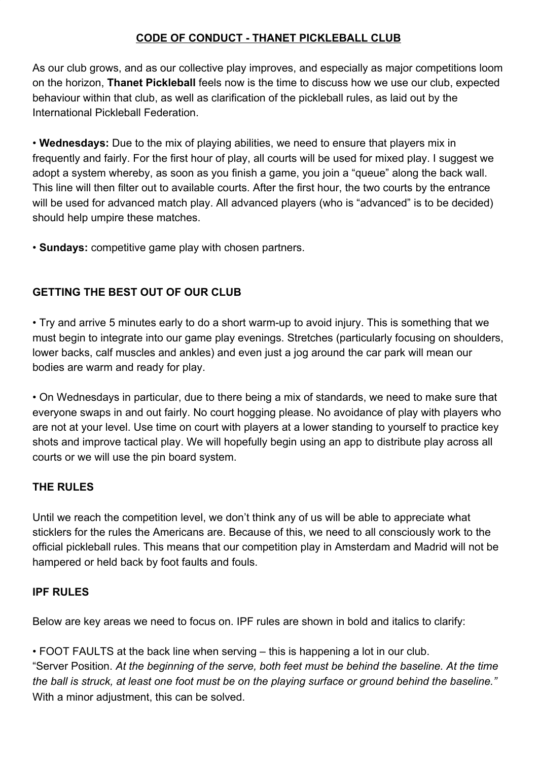## **CODE OF CONDUCT - THANET PICKLEBALL CLUB**

As our club grows, and as our collective play improves, and especially as major competitions loom on the horizon, **Thanet Pickleball** feels now is the time to discuss how we use our club, expected behaviour within that club, as well as clarification of the pickleball rules, as laid out by the International Pickleball Federation.

• **Wednesdays:** Due to the mix of playing abilities, we need to ensure that players mix in frequently and fairly. For the first hour of play, all courts will be used for mixed play. I suggest we adopt a system whereby, as soon as you finish a game, you join a "queue" along the back wall. This line will then filter out to available courts. After the first hour, the two courts by the entrance will be used for advanced match play. All advanced players (who is "advanced" is to be decided) should help umpire these matches.

• **Sundays:** competitive game play with chosen partners.

## **GETTING THE BEST OUT OF OUR CLUB**

• Try and arrive 5 minutes early to do a short warm-up to avoid injury. This is something that we must begin to integrate into our game play evenings. Stretches (particularly focusing on shoulders, lower backs, calf muscles and ankles) and even just a jog around the car park will mean our bodies are warm and ready for play.

• On Wednesdays in particular, due to there being a mix of standards, we need to make sure that everyone swaps in and out fairly. No court hogging please. No avoidance of play with players who are not at your level. Use time on court with players at a lower standing to yourself to practice key shots and improve tactical play. We will hopefully begin using an app to distribute play across all courts or we will use the pin board system.

## **THE RULES**

Until we reach the competition level, we don't think any of us will be able to appreciate what sticklers for the rules the Americans are. Because of this, we need to all consciously work to the official pickleball rules. This means that our competition play in Amsterdam and Madrid will not be hampered or held back by foot faults and fouls.

## **IPF RULES**

Below are key areas we need to focus on. IPF rules are shown in bold and italics to clarify:

• FOOT FAULTS at the back line when serving – this is happening a lot in our club. "Server Position. *At the beginning of the serve, both feet must be behind the baseline. At the time the ball is struck, at least one foot must be on the playing surface or ground behind the baseline."* With a minor adjustment, this can be solved.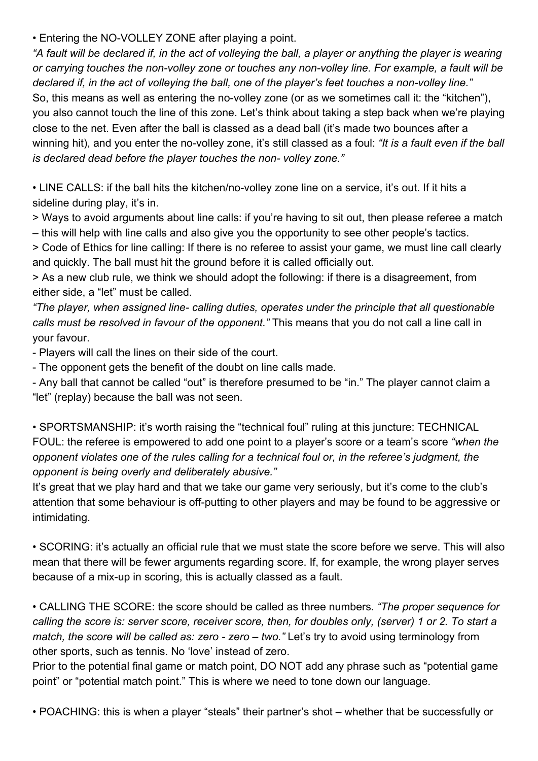• Entering the NO-VOLLEY ZONE after playing a point.

*"A fault will be declared if, in the act of volleying the ball, a player or anything the player is wearing or carrying touches the non-volley zone or touches any non-volley line. For example, a fault will be declared if, in the act of volleying the ball, one of the player's feet touches a non-volley line."* So, this means as well as entering the no-volley zone (or as we sometimes call it: the "kitchen"), you also cannot touch the line of this zone. Let's think about taking a step back when we're playing close to the net. Even after the ball is classed as a dead ball (it's made two bounces after a winning hit), and you enter the no-volley zone, it's still classed as a foul: *"It is a fault even if the ball is declared dead before the player touches the non- volley zone."*

• LINE CALLS: if the ball hits the kitchen/no-volley zone line on a service, it's out. If it hits a sideline during play, it's in.

> Ways to avoid arguments about line calls: if you're having to sit out, then please referee a match – this will help with line calls and also give you the opportunity to see other people's tactics.

> Code of Ethics for line calling: If there is no referee to assist your game, we must line call clearly and quickly. The ball must hit the ground before it is called officially out.

> As a new club rule, we think we should adopt the following: if there is a disagreement, from either side, a "let" must be called.

*"The player, when assigned line- calling duties, operates under the principle that all questionable calls must be resolved in favour of the opponent."* This means that you do not call a line call in your favour.

- Players will call the lines on their side of the court.

- The opponent gets the benefit of the doubt on line calls made.

- Any ball that cannot be called "out" is therefore presumed to be "in." The player cannot claim a "let" (replay) because the ball was not seen.

• SPORTSMANSHIP: it's worth raising the "technical foul" ruling at this juncture: TECHNICAL FOUL: the referee is empowered to add one point to a player's score or a team's score *"when the opponent violates one of the rules calling for a technical foul or, in the referee's judgment, the opponent is being overly and deliberately abusive."*

It's great that we play hard and that we take our game very seriously, but it's come to the club's attention that some behaviour is off-putting to other players and may be found to be aggressive or intimidating.

• SCORING: it's actually an official rule that we must state the score before we serve. This will also mean that there will be fewer arguments regarding score. If, for example, the wrong player serves because of a mix-up in scoring, this is actually classed as a fault.

• CALLING THE SCORE: the score should be called as three numbers. *"The proper sequence for calling the score is: server score, receiver score, then, for doubles only, (server) 1 or 2. To start a match, the score will be called as: zero - zero – two."* Let's try to avoid using terminology from other sports, such as tennis. No 'love' instead of zero.

Prior to the potential final game or match point, DO NOT add any phrase such as "potential game point" or "potential match point." This is where we need to tone down our language.

• POACHING: this is when a player "steals" their partner's shot – whether that be successfully or